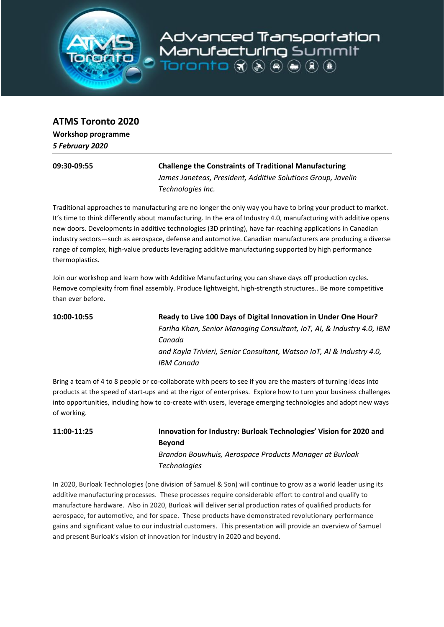

**ATMS Toronto 2020**

**Workshop programme** *5 February 2020*

## **09:30-09:55 Challenge the Constraints of Traditional Manufacturing** *James Janeteas, President, Additive Solutions Group, Javelin Technologies Inc.*

Advanced Transportation

Manufacturing Summit

 $\mathbf{R} \odot \mathbf{R} \odot \mathbf{R} \odot \mathbf{R}$  otnorat

Traditional approaches to manufacturing are no longer the only way you have to bring your product to market. It's time to think differently about manufacturing. In the era of Industry 4.0, manufacturing with additive opens new doors. Developments in additive technologies (3D printing), have far-reaching applications in Canadian industry sectors—such as aerospace, defense and automotive. Canadian manufacturers are producing a diverse range of complex, high-value products leveraging additive manufacturing supported by high performance thermoplastics.

Join our workshop and learn how with Additive Manufacturing you can shave days off production cycles. Remove complexity from final assembly. Produce lightweight, high-strength structures.. Be more competitive than ever before.

**10:00-10:55 Ready to Live 100 Days of Digital Innovation in Under One Hour?** *Fariha Khan, Senior Managing Consultant, IoT, AI, & Industry 4.0, IBM Canada and Kayla Trivieri, Senior Consultant, Watson IoT, AI & Industry 4.0, IBM Canada*

Bring a team of 4 to 8 people or co-collaborate with peers to see if you are the masters of turning ideas into products at the speed of start-ups and at the rigor of enterprises. Explore how to turn your business challenges into opportunities, including how to co-create with users, leverage emerging technologies and adopt new ways of working.

**11:00-11:25 Innovation for Industry: Burloak Technologies' Vision for 2020 and Beyond** *Brandon Bouwhuis, Aerospace Products Manager at Burloak Technologies*

In 2020, Burloak Technologies (one division of Samuel & Son) will continue to grow as a world leader using its additive manufacturing processes. These processes require considerable effort to control and qualify to manufacture hardware. Also in 2020, Burloak will deliver serial production rates of qualified products for aerospace, for automotive, and for space. These products have demonstrated revolutionary performance gains and significant value to our industrial customers. This presentation will provide an overview of Samuel and present Burloak's vision of innovation for industry in 2020 and beyond.